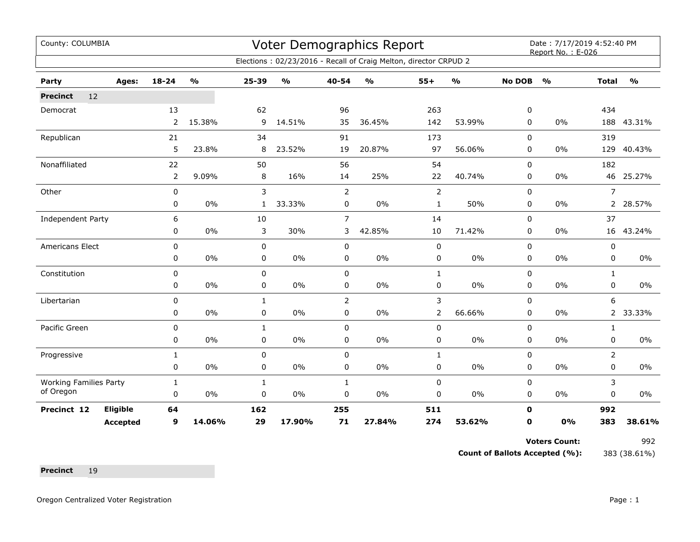| County: COLUMBIA<br>Voter Demographics Report<br>Elections: 02/23/2016 - Recall of Craig Melton, director CRPUD 2 |                 |              |               |              |               |                |               |                |                                   | Date: 7/17/2019 4:52:40 PM<br>Report No.: E-026 |               |                |                                   |  |
|-------------------------------------------------------------------------------------------------------------------|-----------------|--------------|---------------|--------------|---------------|----------------|---------------|----------------|-----------------------------------|-------------------------------------------------|---------------|----------------|-----------------------------------|--|
|                                                                                                                   |                 |              |               |              |               |                |               |                |                                   |                                                 |               |                |                                   |  |
| Party                                                                                                             | Ages:           | 18-24        | $\frac{0}{0}$ | 25-39        | $\frac{1}{2}$ | 40-54          | $\frac{0}{0}$ | $55+$          | $\mathsf{o}\mathsf{v}_\mathsf{o}$ | <b>No DOB</b>                                   | $\frac{1}{2}$ | <b>Total</b>   | $\mathsf{o}\mathsf{v}_\mathsf{o}$ |  |
| 12<br><b>Precinct</b>                                                                                             |                 |              |               |              |               |                |               |                |                                   |                                                 |               |                |                                   |  |
| Democrat                                                                                                          |                 | 13           |               | 62           |               | 96             |               | 263            |                                   | 0                                               |               | 434            |                                   |  |
|                                                                                                                   |                 | $\mathbf{2}$ | 15.38%        | 9            | 14.51%        | 35             | 36.45%        | 142            | 53.99%                            | $\mathbf 0$                                     | $0\%$         | 188            | 43.31%                            |  |
| Republican                                                                                                        |                 | 21           |               | 34           |               | 91             |               | 173            |                                   | 0                                               |               | 319            |                                   |  |
|                                                                                                                   |                 | 5            | 23.8%         | 8            | 23.52%        | 19             | 20.87%        | 97             | 56.06%                            | 0                                               | 0%            | 129            | 40.43%                            |  |
| Nonaffiliated                                                                                                     |                 | 22           |               | 50           |               | 56             |               | 54             |                                   | $\mathbf 0$                                     |               | 182            |                                   |  |
|                                                                                                                   |                 | 2            | 9.09%         | 8            | 16%           | 14             | 25%           | 22             | 40.74%                            | 0                                               | 0%            | 46             | 25.27%                            |  |
| Other                                                                                                             |                 | 0            |               | 3            |               | $\overline{2}$ |               | $\overline{2}$ |                                   | $\Omega$                                        |               | $\overline{7}$ |                                   |  |
|                                                                                                                   |                 | 0            | 0%            | 1            | 33.33%        | 0              | 0%            | $\mathbf{1}$   | 50%                               | 0                                               | $0\%$         | 2              | 28.57%                            |  |
| Independent Party                                                                                                 |                 | 6            |               | 10           |               | $\overline{7}$ |               | 14             |                                   | 0                                               |               | 37             |                                   |  |
|                                                                                                                   |                 | 0            | 0%            | 3            | 30%           | 3              | 42.85%        | 10             | 71.42%                            | $\Omega$                                        | 0%            | 16             | 43.24%                            |  |
| <b>Americans Elect</b>                                                                                            |                 | 0            |               | $\mathbf 0$  |               | 0              |               | $\pmb{0}$      |                                   | $\mathbf 0$                                     |               | 0              |                                   |  |
|                                                                                                                   |                 | 0            | 0%            | 0            | 0%            | 0              | 0%            | 0              | 0%                                | 0                                               | 0%            | 0              | $0\%$                             |  |
| Constitution                                                                                                      |                 | $\mathbf 0$  |               | $\pmb{0}$    |               | 0              |               | $\mathbf{1}$   |                                   | 0                                               |               | $\mathbf{1}$   |                                   |  |
|                                                                                                                   |                 | 0            | 0%            | 0            | 0%            | 0              | 0%            | $\mathbf 0$    | $0\%$                             | 0                                               | $0\%$         | 0              | $0\%$                             |  |
| Libertarian                                                                                                       |                 | 0            |               | $\mathbf{1}$ |               | $\overline{2}$ |               | 3              |                                   | 0                                               |               | 6              |                                   |  |
|                                                                                                                   |                 | 0            | 0%            | 0            | 0%            | 0              | 0%            | $\overline{2}$ | 66.66%                            | 0                                               | $0\%$         | $2^{\circ}$    | 33.33%                            |  |
| Pacific Green                                                                                                     |                 | 0            |               | $\mathbf{1}$ |               | 0              |               | $\pmb{0}$      |                                   | $\mathbf 0$                                     |               | $\mathbf{1}$   |                                   |  |
|                                                                                                                   |                 | 0            | 0%            | 0            | 0%            | 0              | 0%            | 0              | 0%                                | 0                                               | 0%            | 0              | $0\%$                             |  |
| Progressive                                                                                                       |                 | $\mathbf{1}$ |               | $\mathbf 0$  |               | 0              |               | $\mathbf{1}$   |                                   | 0                                               |               | $\overline{2}$ |                                   |  |
|                                                                                                                   |                 | 0            | 0%            | $\mathbf 0$  | 0%            | $\mathbf 0$    | 0%            | $\mathbf 0$    | $0\%$                             | $\mathbf 0$                                     | 0%            | $\mathbf 0$    | $0\%$                             |  |
| <b>Working Families Party</b>                                                                                     |                 | 1            |               | 1            |               | $\mathbf{1}$   |               | 0              |                                   | 0                                               |               | 3              |                                   |  |
| of Oregon                                                                                                         |                 | $\mathbf 0$  | 0%            | $\mathbf 0$  | 0%            | 0              | 0%            | $\pmb{0}$      | 0%                                | 0                                               | $0\%$         | $\mathbf 0$    | $0\%$                             |  |
| Precinct 12                                                                                                       | Eligible        | 64           |               | 162          |               | 255            |               | 511            |                                   | $\mathbf 0$                                     |               | 992            |                                   |  |
|                                                                                                                   | <b>Accepted</b> | 9            | 14.06%        | 29           | 17.90%        | 71             | 27.84%        | 274            | 53.62%                            | $\mathbf 0$                                     | 0%            | 383            | 38.61%                            |  |

**Voters Count:** 992

**Count of Ballots Accepted (%):** 383 (38.61%)

Precinct 19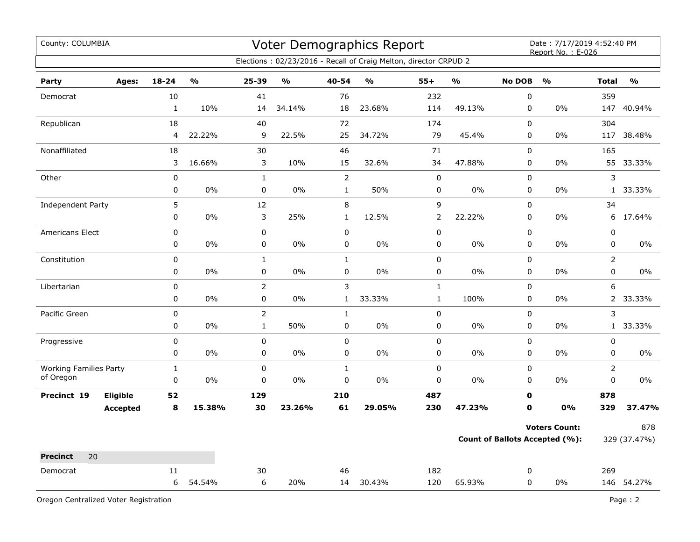| Voter Demographics Report<br>County: COLUMBIA |              |               |                |               |              |                                                                  |                |                         |               | Date: 7/17/2019 4:52:40 PM<br>Report No.: E-026 |                |               |  |
|-----------------------------------------------|--------------|---------------|----------------|---------------|--------------|------------------------------------------------------------------|----------------|-------------------------|---------------|-------------------------------------------------|----------------|---------------|--|
|                                               |              |               |                |               |              | Elections: 02/23/2016 - Recall of Craig Melton, director CRPUD 2 |                |                         |               |                                                 |                |               |  |
| Party<br>Ages:                                | $18 - 24$    | $\frac{1}{2}$ | 25-39          | $\frac{1}{2}$ | 40-54        | $\mathbf{O}/\mathbf{O}$                                          | $55+$          | $\mathbf{O}/\mathbf{O}$ | <b>No DOB</b> | $\frac{1}{2}$                                   | <b>Total</b>   | $\frac{1}{2}$ |  |
| Democrat                                      | 10           |               | 41             |               | 76           |                                                                  | 232            |                         | $\mathbf 0$   |                                                 | 359            |               |  |
|                                               | $\mathbf{1}$ | 10%           | 14             | 34.14%        | 18           | 23.68%                                                           | 114            | 49.13%                  | $\mathbf 0$   | 0%                                              | 147            | 40.94%        |  |
| Republican                                    | 18           |               | 40             |               | 72           |                                                                  | 174            |                         | $\mathbf 0$   |                                                 | 304            |               |  |
|                                               | 4            | 22.22%        | 9              | 22.5%         | 25           | 34.72%                                                           | 79             | 45.4%                   | 0             | $0\%$                                           | 117            | 38.48%        |  |
| Nonaffiliated                                 | 18           |               | 30             |               | 46           |                                                                  | 71             |                         | 0             |                                                 | 165            |               |  |
|                                               | 3            | 16.66%        | 3              | 10%           | 15           | 32.6%                                                            | 34             | 47.88%                  | $\pmb{0}$     | 0%                                              |                | 55 33.33%     |  |
| Other                                         | $\pmb{0}$    |               | $\mathbf{1}$   |               | $\mathsf{2}$ |                                                                  | $\pmb{0}$      |                         | $\pmb{0}$     |                                                 | 3              |               |  |
|                                               | 0            | 0%            | $\pmb{0}$      | 0%            | $\mathbf{1}$ | 50%                                                              | 0              | $0\%$                   | 0             | 0%                                              |                | 1 33.33%      |  |
| Independent Party                             | 5            |               | 12             |               | 8            |                                                                  | 9              |                         | 0             |                                                 | 34             |               |  |
|                                               | 0            | 0%            | 3              | 25%           | $\mathbf{1}$ | 12.5%                                                            | $\overline{2}$ | 22.22%                  | 0             | $0\%$                                           | 6              | 17.64%        |  |
| Americans Elect                               | 0            |               | $\pmb{0}$      |               | $\pmb{0}$    |                                                                  | $\pmb{0}$      |                         | $\mathsf 0$   |                                                 | $\pmb{0}$      |               |  |
|                                               | 0            | 0%            | 0              | $0\%$         | 0            | $0\%$                                                            | 0              | $0\%$                   | 0             | 0%                                              | 0              | $0\%$         |  |
| Constitution                                  | 0            |               | $\mathbf{1}$   |               | $\mathbf{1}$ |                                                                  | 0              |                         | $\pmb{0}$     |                                                 | $\overline{2}$ |               |  |
|                                               | $\pmb{0}$    | 0%            | $\pmb{0}$      | 0%            | $\mathbf 0$  | 0%                                                               | 0              | 0%                      | $\mathbf 0$   | 0%                                              | $\mathbf 0$    | 0%            |  |
| Libertarian                                   | 0            |               | $\overline{2}$ |               | 3            |                                                                  | $\mathbf 1$    |                         | 0             |                                                 | 6              |               |  |
|                                               | 0            | 0%            | 0              | 0%            | $\mathbf{1}$ | 33.33%                                                           | $\mathbf{1}$   | 100%                    | 0             | 0%                                              |                | 2 33.33%      |  |
| Pacific Green                                 | 0            |               | $\overline{2}$ |               | $\mathbf{1}$ |                                                                  | 0              |                         | $\pmb{0}$     |                                                 | 3              |               |  |
|                                               | 0            | 0%            | $\mathbf{1}$   | 50%           | 0            | 0%                                                               | 0              | 0%                      | 0             | 0%                                              |                | 1 33.33%      |  |
| Progressive                                   | $\pmb{0}$    |               | $\mathsf 0$    |               | $\mathsf 0$  |                                                                  | 0              |                         | $\mathsf 0$   |                                                 | $\mathsf 0$    |               |  |
|                                               | $\pmb{0}$    | 0%            | $\pmb{0}$      | 0%            | 0            | 0%                                                               | 0              | 0%                      | 0             | 0%                                              | $\pmb{0}$      | $0\%$         |  |
| <b>Working Families Party</b>                 | $\mathbf{1}$ |               | $\pmb{0}$      |               | $\mathbf 1$  |                                                                  | $\mathbf 0$    |                         | $\pmb{0}$     |                                                 | $\overline{2}$ |               |  |
| of Oregon                                     | $\pmb{0}$    | 0%            | $\pmb{0}$      | 0%            | $\mathbf 0$  | 0%                                                               | 0              | $0\%$                   | 0             | $0\%$                                           | $\pmb{0}$      | 0%            |  |
| Eligible<br>Precinct 19                       | 52           |               | 129            |               | 210          |                                                                  | 487            |                         | $\mathbf 0$   |                                                 | 878            |               |  |
| <b>Accepted</b>                               | 8            | 15.38%        | 30             | 23.26%        | 61           | 29.05%                                                           | 230            | 47.23%                  | 0             | 0%                                              | 329            | 37.47%        |  |
|                                               |              |               |                |               |              |                                                                  |                |                         |               | <b>Voters Count:</b>                            |                | 878           |  |
|                                               |              |               |                |               |              |                                                                  |                |                         |               | <b>Count of Ballots Accepted (%):</b>           |                | 329 (37.47%)  |  |
| 20<br><b>Precinct</b>                         |              |               |                |               |              |                                                                  |                |                         |               |                                                 |                |               |  |
| Democrat                                      | 11           |               | 30             |               | 46           |                                                                  | 182            |                         | 0             |                                                 | 269            |               |  |
|                                               | 6            | 54.54%        | 6              | 20%           | 14           | 30.43%                                                           | 120            | 65.93%                  | 0             | 0%                                              |                | 146 54.27%    |  |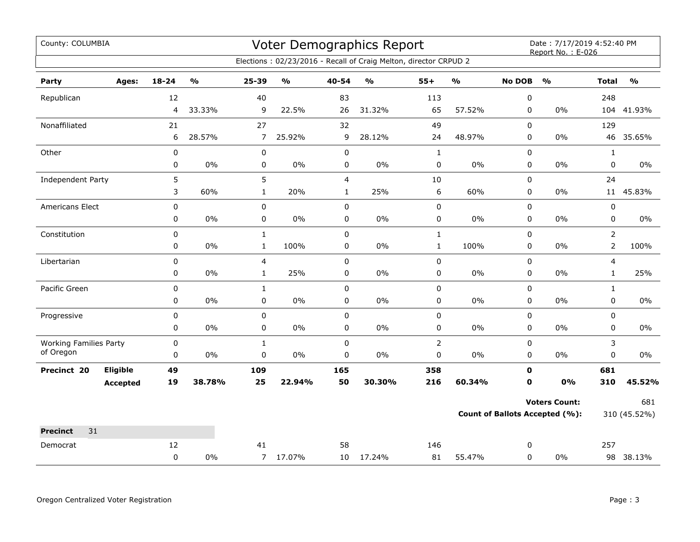| County: COLUMBIA                           |          |             |               |                |                                   |                | Voter Demographics Report                                        | Date: 7/17/2019 4:52:40 PM<br>Report No.: E-026 |                         |               |                                |                |               |
|--------------------------------------------|----------|-------------|---------------|----------------|-----------------------------------|----------------|------------------------------------------------------------------|-------------------------------------------------|-------------------------|---------------|--------------------------------|----------------|---------------|
|                                            |          |             |               |                |                                   |                | Elections: 02/23/2016 - Recall of Craig Melton, director CRPUD 2 |                                                 |                         |               |                                |                |               |
| Party                                      | Ages:    | 18-24       | $\frac{9}{6}$ | 25-39          | $\mathsf{o}\mathsf{v}_\mathsf{o}$ | 40-54          | $\mathsf{o}\mathsf{v}_\mathsf{o}$                                | $55+$                                           | $\mathbf{O}/\mathbf{o}$ | <b>No DOB</b> | $\frac{1}{2}$                  | <b>Total</b>   | $\frac{1}{2}$ |
| Republican                                 |          | 12          |               | 40             |                                   | 83             |                                                                  | 113                                             |                         | 0             |                                | 248            |               |
|                                            |          | 4           | 33.33%        | 9              | 22.5%                             | 26             | 31.32%                                                           | 65                                              | 57.52%                  | 0             | $0\%$                          |                | 104 41.93%    |
| Nonaffiliated                              |          | 21          |               | 27             |                                   | 32             |                                                                  | 49                                              |                         | 0             |                                | 129            |               |
|                                            |          | 6           | 28.57%        | $\overline{7}$ | 25.92%                            | 9              | 28.12%                                                           | 24                                              | 48.97%                  | 0             | $0\%$                          | 46             | 35.65%        |
| Other                                      |          | $\pmb{0}$   |               | $\pmb{0}$      |                                   | $\mathbf 0$    |                                                                  | $\mathbf{1}$                                    |                         | 0             |                                | $\mathbf{1}$   |               |
|                                            |          | 0           | 0%            | 0              | $0\%$                             | 0              | $0\%$                                                            | $\mathbf 0$                                     | $0\%$                   | 0             | $0\%$                          | $\mathbf 0$    | $0\%$         |
| <b>Independent Party</b>                   |          | 5           |               | 5              |                                   | $\overline{4}$ |                                                                  | 10                                              |                         | 0             |                                | 24             |               |
|                                            |          | 3           | 60%           | $\mathbf{1}$   | 20%                               | $\mathbf{1}$   | 25%                                                              | 6                                               | 60%                     | 0             | $0\%$                          |                | 11 45.83%     |
| <b>Americans Elect</b>                     |          | 0           |               | $\pmb{0}$      |                                   | $\mathsf 0$    |                                                                  | 0                                               |                         | 0             |                                | 0              |               |
|                                            |          | 0           | 0%            | 0              | $0\%$                             | $\pmb{0}$      | $0\%$                                                            | 0                                               | $0\%$                   | 0             | $0\%$                          | 0              | $0\%$         |
| Constitution                               |          | 0           |               | $\mathbf{1}$   |                                   | $\mathsf 0$    |                                                                  | $\mathbf{1}$                                    |                         | 0             |                                | $\overline{2}$ |               |
|                                            |          | 0           | $0\%$         | $\mathbf{1}$   | 100%                              | $\pmb{0}$      | 0%                                                               | $\mathbf{1}$                                    | 100%                    | 0             | $0\%$                          | $\overline{2}$ | 100%          |
| Libertarian                                |          | $\mathbf 0$ |               | 4              |                                   | $\mathbf 0$    |                                                                  | 0                                               |                         | 0             |                                | 4              |               |
|                                            |          | 0           | 0%            | $\mathbf{1}$   | 25%                               | 0              | 0%                                                               | 0                                               | $0\%$                   | 0             | 0%                             | $\mathbf{1}$   | 25%           |
| Pacific Green                              |          | 0           |               | $\mathbf{1}$   |                                   | $\pmb{0}$      |                                                                  | 0                                               |                         | 0             |                                | $\mathbf{1}$   |               |
|                                            |          | 0           | $0\%$         | 0              | $0\%$                             | 0              | $0\%$                                                            | 0                                               | $0\%$                   | 0             | $0\%$                          | 0              | $0\%$         |
| Progressive                                |          | 0           |               | 0              |                                   | $\pmb{0}$      |                                                                  | 0                                               |                         | 0             |                                | 0              |               |
|                                            |          | 0           | $0\%$         | 0              | 0%                                | $\pmb{0}$      | $0\%$                                                            | 0                                               | $0\%$                   | 0             | $0\%$                          | 0              | $0\%$         |
| <b>Working Families Party</b><br>of Oregon |          | 0           |               | $\mathbf{1}$   |                                   | $\mathbf 0$    |                                                                  | $\overline{2}$                                  |                         | 0             |                                | 3              |               |
|                                            |          | $\mathbf 0$ | 0%            | 0              | 0%                                | $\pmb{0}$      | 0%                                                               | 0                                               | $0\%$                   | 0             | $0\%$                          | 0              | $0\%$         |
| Precinct 20                                | Eligible | 49          |               | 109            |                                   | 165            |                                                                  | 358                                             |                         | $\mathbf 0$   |                                | 681            |               |
|                                            | Accepted | 19          | 38.78%        | 25             | 22.94%                            | 50             | 30.30%                                                           | 216                                             | 60.34%                  | 0             | 0%                             | 310            | 45.52%        |
|                                            |          |             |               |                |                                   |                |                                                                  |                                                 |                         |               | <b>Voters Count:</b>           |                | 681           |
|                                            |          |             |               |                |                                   |                |                                                                  |                                                 |                         |               | Count of Ballots Accepted (%): |                | 310 (45.52%)  |
| 31<br><b>Precinct</b>                      |          |             |               |                |                                   |                |                                                                  |                                                 |                         |               |                                |                |               |
| Democrat                                   |          | 12          |               | 41             |                                   | 58             |                                                                  | 146                                             |                         | 0             |                                | 257            |               |
|                                            |          | 0           | $0\%$         |                | 7 17.07%                          | 10             | 17.24%                                                           | 81                                              | 55.47%                  | $\mathbf 0$   | $0\%$                          |                | 98 38.13%     |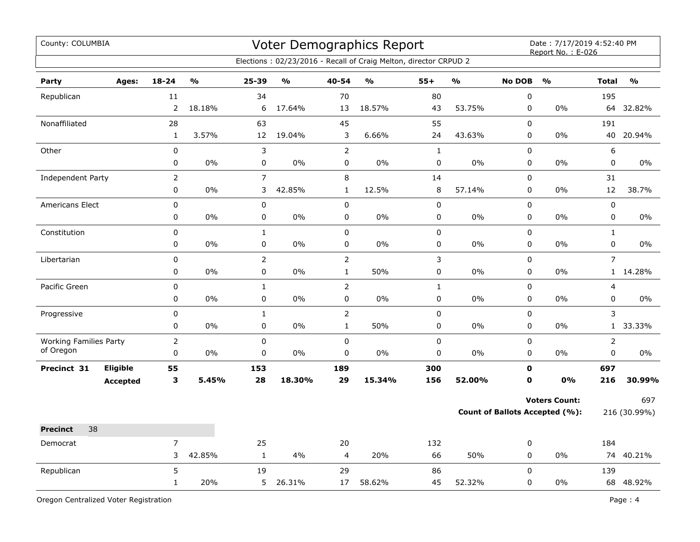| County: COLUMBIA              |                 |                |               |                |               | Voter Demographics Report | Date: 7/17/2019 4:52:40 PM<br>Report No.: E-026                  |              |                         |               |                                |                |               |
|-------------------------------|-----------------|----------------|---------------|----------------|---------------|---------------------------|------------------------------------------------------------------|--------------|-------------------------|---------------|--------------------------------|----------------|---------------|
|                               |                 |                |               |                |               |                           | Elections: 02/23/2016 - Recall of Craig Melton, director CRPUD 2 |              |                         |               |                                |                |               |
| Party                         | Ages:           | $18 - 24$      | $\frac{1}{2}$ | 25-39          | $\frac{1}{2}$ | 40-54                     | $\mathbf{O}/\mathbf{O}$                                          | $55+$        | $\mathbf{O}/\mathbf{o}$ | <b>No DOB</b> | $\frac{1}{2}$                  | <b>Total</b>   | $\frac{0}{0}$ |
| Republican                    |                 | 11             |               | 34             |               | 70                        |                                                                  | 80           |                         | $\pmb{0}$     |                                | 195            |               |
|                               |                 | $\overline{2}$ | 18.18%        | 6              | 17.64%        | 13                        | 18.57%                                                           | 43           | 53.75%                  | $\pmb{0}$     | 0%                             | 64             | 32.82%        |
| Nonaffiliated                 |                 | 28             |               | 63             |               | 45                        |                                                                  | 55           |                         | $\mathsf 0$   |                                | 191            |               |
|                               |                 | $\mathbf{1}$   | 3.57%         | 12             | 19.04%        | 3                         | 6.66%                                                            | 24           | 43.63%                  | $\pmb{0}$     | 0%                             | 40             | 20.94%        |
| Other                         |                 | 0              |               | $\mathsf 3$    |               | $\overline{2}$            |                                                                  | $\mathbf{1}$ |                         | $\pmb{0}$     |                                | 6              |               |
|                               |                 | 0              | 0%            | $\pmb{0}$      | 0%            | $\pmb{0}$                 | 0%                                                               | $\pmb{0}$    | 0%                      | $\pmb{0}$     | 0%                             | $\pmb{0}$      | 0%            |
| Independent Party             |                 | $\overline{2}$ |               | $\overline{7}$ |               | 8                         |                                                                  | 14           |                         | $\pmb{0}$     |                                | 31             |               |
|                               |                 | 0              | 0%            | 3              | 42.85%        | $\mathbf{1}$              | 12.5%                                                            | 8            | 57.14%                  | $\pmb{0}$     | 0%                             | 12             | 38.7%         |
| Americans Elect               |                 | 0              |               | $\pmb{0}$      |               | $\pmb{0}$                 |                                                                  | $\mathbf 0$  |                         | $\pmb{0}$     |                                | $\pmb{0}$      |               |
|                               |                 | 0              | 0%            | $\pmb{0}$      | 0%            | 0                         | 0%                                                               | 0            | 0%                      | $\pmb{0}$     | 0%                             | $\pmb{0}$      | 0%            |
| Constitution                  |                 | 0              |               | $\mathbf 1$    |               | $\pmb{0}$                 |                                                                  | $\mathbf 0$  |                         | $\pmb{0}$     |                                | $\mathbf 1$    |               |
|                               |                 | 0              | 0%            | $\pmb{0}$      | 0%            | 0                         | 0%                                                               | 0            | 0%                      | $\pmb{0}$     | 0%                             | $\pmb{0}$      | 0%            |
| Libertarian                   |                 | $\mathbf 0$    |               | $\mathbf 2$    |               | $\overline{2}$            |                                                                  | 3            |                         | $\mathbf 0$   |                                | $\overline{7}$ |               |
|                               |                 | 0              | 0%            | $\pmb{0}$      | 0%            | $\mathbf{1}$              | 50%                                                              | 0            | 0%                      | $\pmb{0}$     | 0%                             | $\mathbf{1}$   | 14.28%        |
| Pacific Green                 |                 | $\mathbf 0$    |               | $\mathbf 1$    |               | $\overline{2}$            |                                                                  | $\mathbf{1}$ |                         | $\pmb{0}$     |                                | 4              |               |
|                               |                 | 0              | $0\%$         | $\pmb{0}$      | 0%            | 0                         | $0\%$                                                            | 0            | $0\%$                   | $\pmb{0}$     | $0\%$                          | $\pmb{0}$      | $0\%$         |
| Progressive                   |                 | 0              |               | $\mathbf{1}$   |               | $\overline{2}$            |                                                                  | $\mathbf 0$  |                         | $\pmb{0}$     |                                | 3              |               |
|                               |                 | 0              | 0%            | $\pmb{0}$      | 0%            | $\mathbf{1}$              | 50%                                                              | 0            | 0%                      | 0             | 0%                             | $\mathbf{1}$   | 33.33%        |
| <b>Working Families Party</b> |                 | $\overline{2}$ |               | $\pmb{0}$      |               | $\mathbf 0$               |                                                                  | $\pmb{0}$    |                         | $\pmb{0}$     |                                | $\overline{2}$ |               |
| of Oregon                     |                 | $\mathbf 0$    | 0%            | $\mathbf 0$    | 0%            | 0                         | 0%                                                               | $\pmb{0}$    | 0%                      | $\mathbf 0$   | 0%                             | $\pmb{0}$      | $0\%$         |
| Precinct 31                   | <b>Eligible</b> | 55             |               | 153            |               | 189                       |                                                                  | 300          |                         | $\mathbf 0$   |                                | 697            |               |
|                               | <b>Accepted</b> | 3              | 5.45%         | 28             | 18.30%        | 29                        | 15.34%                                                           | 156          | 52.00%                  | $\mathbf 0$   | 0%                             | 216            | 30.99%        |
|                               |                 |                |               |                |               |                           |                                                                  |              |                         |               | <b>Voters Count:</b>           |                | 697           |
|                               |                 |                |               |                |               |                           |                                                                  |              |                         |               | Count of Ballots Accepted (%): |                | 216 (30.99%)  |
| 38<br><b>Precinct</b>         |                 |                |               |                |               |                           |                                                                  |              |                         |               |                                |                |               |
| Democrat                      |                 | $\overline{7}$ |               | 25             |               | 20                        |                                                                  | 132          |                         | $\pmb{0}$     |                                | 184            |               |
|                               |                 | 3              | 42.85%        | $\mathbf 1$    | 4%            | 4                         | 20%                                                              | 66           | 50%                     | $\mathbf 0$   | $0\%$                          | 74             | 40.21%        |
| Republican                    |                 | 5              |               | 19             |               | 29                        |                                                                  | 86           |                         | $\pmb{0}$     |                                | 139            |               |
|                               |                 | $\mathbf{1}$   | 20%           | 5              | 26.31%        | 17                        | 58.62%                                                           | 45           | 52.32%                  | $\mathbf 0$   | 0%                             |                | 68 48.92%     |

Oregon Centralized Voter Registration **Page : 4**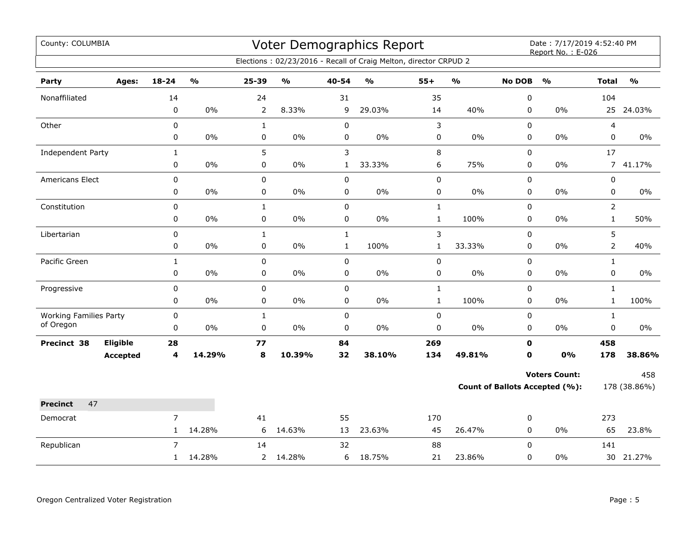| County: COLUMBIA<br>Voter Demographics Report |          |                |               |              |                         |              |                                                                  |              |                                   | Date: 7/17/2019 4:52:40 PM<br>Report No.: E-026 |                                |                |               |
|-----------------------------------------------|----------|----------------|---------------|--------------|-------------------------|--------------|------------------------------------------------------------------|--------------|-----------------------------------|-------------------------------------------------|--------------------------------|----------------|---------------|
|                                               |          |                |               |              |                         |              | Elections: 02/23/2016 - Recall of Craig Melton, director CRPUD 2 |              |                                   |                                                 |                                |                |               |
| Party                                         | Ages:    | $18 - 24$      | $\frac{0}{0}$ | 25-39        | $\mathbf{O}/\mathbf{o}$ | 40-54        | $\mathbf{O}/\mathbf{o}$                                          | $55+$        | $\mathsf{o}\mathsf{v}_\mathsf{o}$ | <b>No DOB</b>                                   | $\frac{0}{0}$                  | <b>Total</b>   | $\frac{0}{0}$ |
| Nonaffiliated                                 |          | 14             |               | 24           |                         | 31           |                                                                  | 35           |                                   | $\pmb{0}$                                       |                                | 104            |               |
|                                               |          | $\pmb{0}$      | $0\%$         | 2            | 8.33%                   | 9            | 29.03%                                                           | 14           | 40%                               | 0                                               | 0%                             | 25             | 24.03%        |
| Other                                         |          | $\pmb{0}$      |               | $\mathbf{1}$ |                         | $\pmb{0}$    |                                                                  | 3            |                                   | $\mathbf 0$                                     |                                | 4              |               |
|                                               |          | 0              | $0\%$         | 0            | $0\%$                   | 0            | 0%                                                               | $\pmb{0}$    | $0\%$                             | $\mathbf 0$                                     | 0%                             | $\pmb{0}$      | 0%            |
| Independent Party                             |          | $\mathbf{1}$   |               | 5            |                         | 3            |                                                                  | 8            |                                   | 0                                               |                                | 17             |               |
|                                               |          | $\mathbf 0$    | $0\%$         | $\mathbf 0$  | 0%                      | $\mathbf{1}$ | 33.33%                                                           | 6            | 75%                               | $\mathbf 0$                                     | $0\%$                          | $\overline{7}$ | 41.17%        |
| <b>Americans Elect</b>                        |          | $\mathbf 0$    |               | $\mathbf 0$  |                         | $\pmb{0}$    |                                                                  | 0            |                                   | $\mathbf 0$                                     |                                | 0              |               |
|                                               |          | 0              | $0\%$         | 0            | $0\%$                   | 0            | 0%                                                               | 0            | 0%                                | 0                                               | $0\%$                          | 0              | 0%            |
| Constitution                                  |          | $\mathsf 0$    |               | $\mathbf{1}$ |                         | $\mathsf 0$  |                                                                  | $\mathbf{1}$ |                                   | $\mathbf 0$                                     |                                | $\overline{2}$ |               |
|                                               |          | 0              | $0\%$         | $\pmb{0}$    | 0%                      | $\mathsf 0$  | 0%                                                               | $\mathbf 1$  | 100%                              | 0                                               | $0\%$                          | $\mathbf{1}$   | 50%           |
| Libertarian                                   |          | $\pmb{0}$      |               | $\mathbf{1}$ |                         | $\mathbf{1}$ |                                                                  | 3            |                                   | $\mathbf 0$                                     |                                | 5              |               |
|                                               |          | $\pmb{0}$      | $0\%$         | 0            | 0%                      | $\mathbf{1}$ | 100%                                                             | $\mathbf{1}$ | 33.33%                            | 0                                               | $0\%$                          | $\overline{2}$ | 40%           |
| Pacific Green                                 |          | $\mathbf{1}$   |               | $\mathbf 0$  |                         | $\mathbf 0$  |                                                                  | 0            |                                   | $\mathbf 0$                                     |                                | $\mathbf{1}$   |               |
|                                               |          | $\mathbf 0$    | $0\%$         | 0            | $0\%$                   | 0            | $0\%$                                                            | 0            | $0\%$                             | $\mathbf 0$                                     | $0\%$                          | $\mathbf 0$    | $0\%$         |
| Progressive                                   |          | $\pmb{0}$      |               | $\mathbf 0$  |                         | $\pmb{0}$    |                                                                  | $\mathbf{1}$ |                                   | $\mathbf 0$                                     |                                | $\mathbf{1}$   |               |
|                                               |          | 0              | 0%            | 0            | 0%                      | 0            | 0%                                                               | $\mathbf{1}$ | 100%                              | 0                                               | 0%                             | $\mathbf{1}$   | 100%          |
| <b>Working Families Party</b><br>of Oregon    |          | $\pmb{0}$      |               | $\mathbf{1}$ |                         | $\pmb{0}$    |                                                                  | 0            |                                   | 0                                               |                                | $\mathbf{1}$   |               |
|                                               |          | $\pmb{0}$      | $0\%$         | $\mathbf 0$  | $0\%$                   | $\mathbf 0$  | 0%                                                               | $\pmb{0}$    | $0\%$                             | $\mathbf 0$                                     | $0\%$                          | $\mathbf 0$    | $0\%$         |
| Precinct 38                                   | Eligible | 28             |               | 77           |                         | 84           |                                                                  | 269          |                                   | $\mathbf 0$                                     |                                | 458            |               |
|                                               | Accepted | 4              | 14.29%        | 8            | 10.39%                  | 32           | 38.10%                                                           | 134          | 49.81%                            | $\mathbf 0$                                     | 0%                             | 178            | 38.86%        |
|                                               |          |                |               |              |                         |              |                                                                  |              |                                   |                                                 | <b>Voters Count:</b>           |                | 458           |
|                                               |          |                |               |              |                         |              |                                                                  |              |                                   |                                                 | Count of Ballots Accepted (%): |                | 178 (38.86%)  |
| 47<br><b>Precinct</b>                         |          |                |               |              |                         |              |                                                                  |              |                                   |                                                 |                                |                |               |
| Democrat                                      |          | $\overline{7}$ |               | 41           |                         | 55           |                                                                  | 170          |                                   | 0                                               |                                | 273            |               |
|                                               |          | $\mathbf{1}$   | 14.28%        | 6            | 14.63%                  | 13           | 23.63%                                                           | 45           | 26.47%                            | 0                                               | $0\%$                          | 65             | 23.8%         |
| Republican                                    |          | $\overline{7}$ |               | 14           |                         | 32           |                                                                  | 88           |                                   | $\mathbf 0$                                     |                                | 141            |               |
|                                               |          | $\mathbf{1}$   | 14.28%        | 2            | 14.28%                  | 6            | 18.75%                                                           | 21           | 23.86%                            | 0                                               | 0%                             |                | 30 21.27%     |